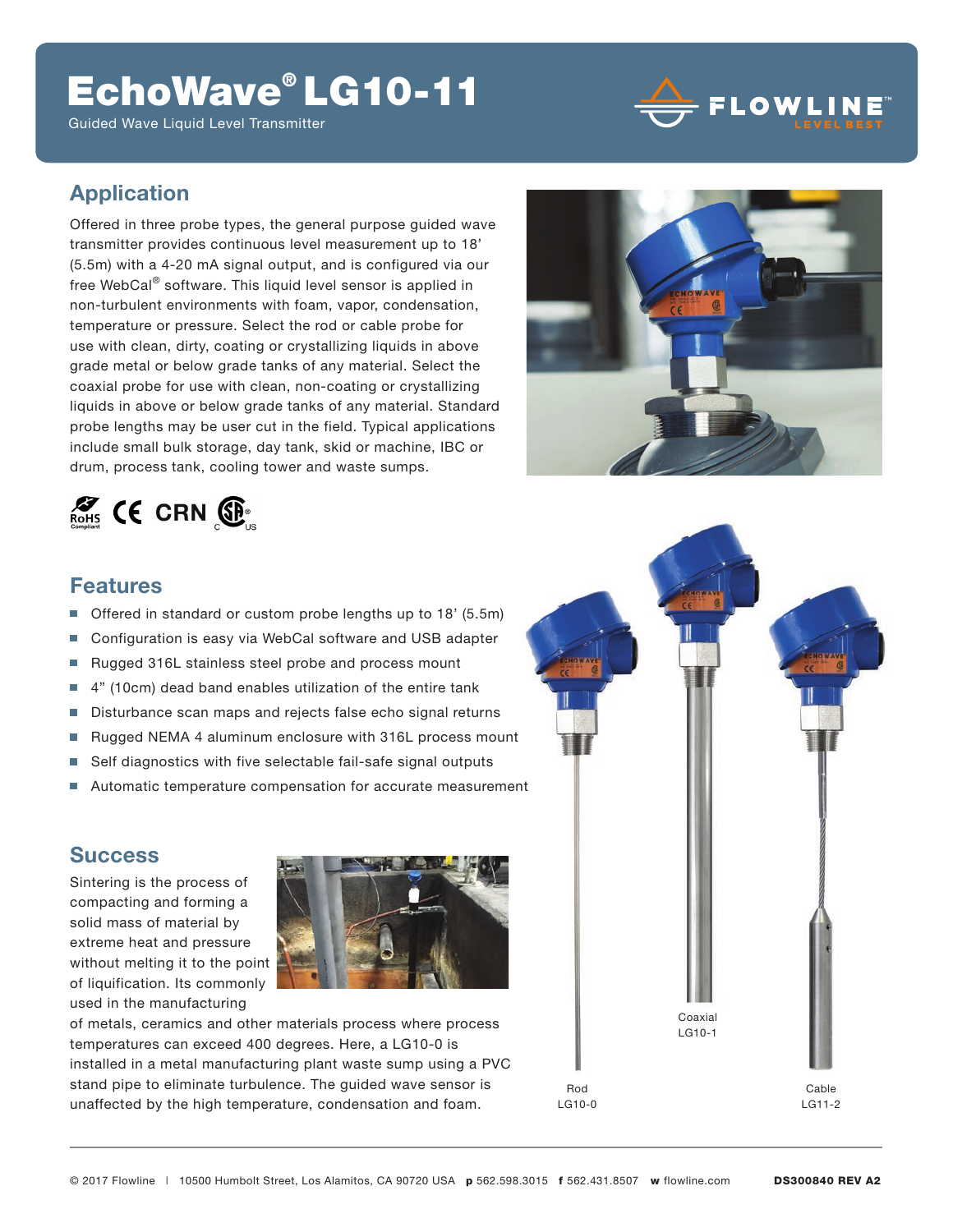# EchoWave® LG10-11

Guided Wave Liquid Level Transmitter



### **Application**

Offered in three probe types, the general purpose guided wave transmitter provides continuous level measurement up to 18' (5.5m) with a 4-20 mA signal output, and is configured via our free WebCal® software. This liquid level sensor is applied in non-turbulent environments with foam, vapor, condensation, temperature or pressure. Select the rod or cable probe for use with clean, dirty, coating or crystallizing liquids in above grade metal or below grade tanks of any material. Select the coaxial probe for use with clean, non-coating or crystallizing liquids in above or below grade tanks of any material. Standard probe lengths may be user cut in the field. Typical applications include small bulk storage, day tank, skid or machine, IBC or drum, process tank, cooling tower and waste sumps.





### **Features**

- n. Offered in standard or custom probe lengths up to 18' (5.5m)
- Configuration is easy via WebCal software and USB adapter П
- Rugged 316L stainless steel probe and process mount Ē.
- 4" (10cm) dead band enables utilization of the entire tank Ē.
- Disturbance scan maps and rejects false echo signal returns L.
- Rugged NEMA 4 aluminum enclosure with 316L process mount L.
- Self diagnostics with five selectable fail-safe signal outputs П
- Automatic temperature compensation for accurate measurement m.

### **Success**

Sintering is the process of compacting and forming a solid mass of material by extreme heat and pressure without melting it to the point of liquification. Its commonly used in the manufacturing



of metals, ceramics and other materials process where process temperatures can exceed 400 degrees. Here, a LG10-0 is installed in a metal manufacturing plant waste sump using a PVC stand pipe to eliminate turbulence. The guided wave sensor is unaffected by the high temperature, condensation and foam.